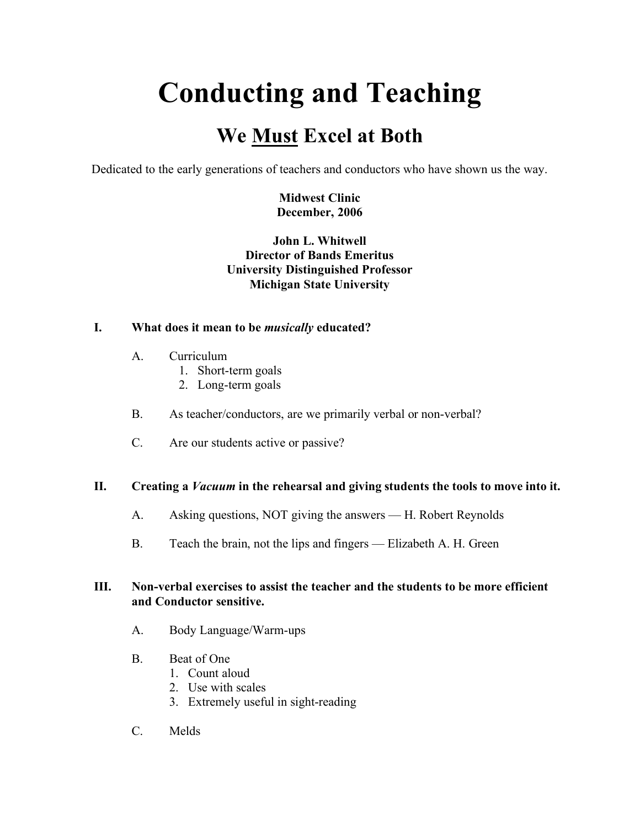# **Conducting and Teaching**

# **We Must Excel at Both**

Dedicated to the early generations of teachers and conductors who have shown us the way.

**Midwest Clinic December, 2006**

# **John L. Whitwell Director of Bands Emeritus University Distinguished Professor Michigan State University**

### **I. What does it mean to be** *musically* **educated?**

- A. Curriculum
	- 1. Short-term goals
	- 2. Long-term goals
- B. As teacher/conductors, are we primarily verbal or non-verbal?
- C. Are our students active or passive?

#### **II. Creating a** *Vacuum* **in the rehearsal and giving students the tools to move into it.**

- A. Asking questions, NOT giving the answers H. Robert Reynolds
- B. Teach the brain, not the lips and fingers Elizabeth A. H. Green

#### **III. Non-verbal exercises to assist the teacher and the students to be more efficient and Conductor sensitive.**

- A. Body Language/Warm-ups
- B. Beat of One
	- 1. Count aloud
	- 2. Use with scales
	- 3. Extremely useful in sight-reading
- C. Melds